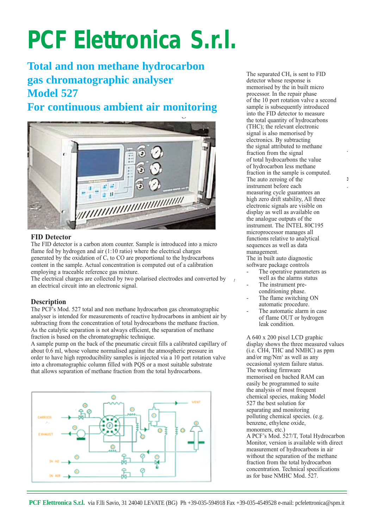# **PCF Elettronica S.r.l.**

## **Total and non methane hydrocarbon gas chromatographic analyser Model 527**

### **For continuous ambient air monitoring**



#### **FID Detector**

The FID detector is a carbon atom counter. Sample is introduced into a micro flame fed by hydrogen and air (1:10 ratio) where the electrical charges generated by the oxidation of  $C_x$  to CO are proportional to the hydrocarbons content in the sample. Actual concentration is computed out of a calibration employing a traceable reference gas mixture.

The electrical charges are collected by two polarised electrodes and converted by an electrical circuit into an electronic signal.

#### **Description**

The PCF's Mod. 527 total and non methane hydrocarbon gas chromatographic analyser is intended for measurements of reactive hydrocarbons in ambient air by subtracting from the concentration of total hydrocarbons the methane fraction. As the catalytic separation is not always efficient, the separation of methane fraction is based on the chromatographic technique.

A sample pump on the back of the pneumatic circuit fills a calibrated capillary of about 0.6 ml, whose volume normalised against the atmospheric pressure in order to have high reproducibility samples is injected via a 10 port rotation valve into a chromatographic column filled with PQS or a most suitable substrate that allows separation of methane fraction from the total hydrocarbons.



The separated CH<sub>4</sub> is sent to FID detector whose response is memorised by the in built micro processor. In the repair phase of the 10 port rotation valve a second sample is subsequently introduced into the FID detector to measure the total quantity of hydrocarbons (THC); the relevant electronic signal is also memorised by electronics. By subtracting the signal attributed to methane fraction from the signal of total hydrocarbons the value of hydrocarbon less methane fraction in the sample is computed. The auto zeroing of the instrument before each measuring cycle guarantees an high zero drift stability, All three electronic signals are visible on display as well as available on the analogue outputs of the instrument. The INTEL 80C195 microprocessor manages all functions relative to analytical sequences as well as data management.

 $\Delta$ 

The in built auto diagnostic software package controls

- The operative parameters as well as the alarms status
- The instrument preconditioning phase.
- The flame switching ON automatic procedure.
- The automatic alarm in case of flame OUT or hydrogen leak condition.

A 640 x 200 pixel LCD graphic display shows the three measured values (i.e. CH4, THC and NMHC) as ppm and/or mg/Nm3 as well as any occasional system failure status. The working firmware memorised on bached RAM can easily be programmed to suite the analysis of most frequent chemical species, making Model 527 the best solution for separating and monitoring polluting chemical species. (e.g. benzene, ethylene oxide, monomers, etc.)

A PCF's Mod. 527/T, Total Hydrocarbon Monitor, version is available with direct measurement of hydrocarbons in air without the separation of the methane fraction from the total hydrocarbon concentration. Technical specifications as for base NMHC Mod. 527.